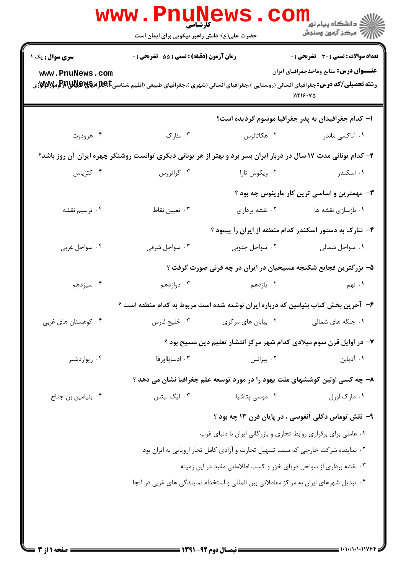|                                                                                                                  | <b>WWW . P</b><br><b>کارشناسی</b><br>حضرت علی(ع): دانش راهبر نیکویی برای ایمان است |                                                                             | ر دانشڪاه پيام نور<br>ا∛ مرکز آزمون وسنڊش                                                                 |  |  |
|------------------------------------------------------------------------------------------------------------------|------------------------------------------------------------------------------------|-----------------------------------------------------------------------------|-----------------------------------------------------------------------------------------------------------|--|--|
| <b>سری سوال :</b> یک ۱<br>www.PnuNews.com                                                                        | زمان آزمون (دقیقه) : تستی : 55 تشریحی : 0                                          |                                                                             | <b>تعداد سوالات : تستی : 30 ٪ تشریحی : 0</b><br><b>عنـــوان درس:</b> منابع وماخذجغرافیای ایران<br>1119.40 |  |  |
|                                                                                                                  |                                                                                    |                                                                             | ۱– کدام جغرافیدان به پدر جغرافیا موسوم گردیده است؟                                                        |  |  |
| ۰۴ هرودوت                                                                                                        | ۰۳ نئارک                                                                           | ۰۲ هکاتائوس                                                                 | ۰۱ آناکسی ماندر                                                                                           |  |  |
| ۲- کدام یونانی مدت ۱۷ سال در دربار ایران بسر برد و بهتر از هر یونانی دیگری توانست روشنگر چهره ایران آن روز باشد؟ |                                                                                    |                                                                             |                                                                                                           |  |  |
| ۰۴ کتزیاس                                                                                                        | ۰۳ گراتروس                                                                         | ۰۲ ویکوس تارا                                                               | ۰۱ اسکندر                                                                                                 |  |  |
|                                                                                                                  |                                                                                    |                                                                             | ۰۳ مهمترین و اساسی ترین کار مارینوس چه بود ؟                                                              |  |  |
| ۰۴ ترسیم نقشه                                                                                                    | ۰۳ تعیین نقاط                                                                      | ۰۲ نقشه برداری                                                              | ۰۱ بازسازی نقشه ها                                                                                        |  |  |
|                                                                                                                  |                                                                                    |                                                                             | ۴- نئارک به دستور اسکندر کدام منطقه از ایران را پیمود ؟                                                   |  |  |
| ۰۴ سواحل غربی                                                                                                    | ۰۳ سواحل شرقی                                                                      | ۰۲ سواحل جنوبی                                                              | ٠١ سواحل شمالي                                                                                            |  |  |
|                                                                                                                  |                                                                                    | ۵– بزرگترین فجایع شکنجه مسیحیان در ایران در چه قرنی صورت گرفت ؟             |                                                                                                           |  |  |
| ۰۴ سیزدهم                                                                                                        | ۰۳ دوازدهم                                                                         | ۰۲ يازدهم                                                                   | ۰۱ نهم                                                                                                    |  |  |
|                                                                                                                  | ۶– آخرین بخش کتاب بنیامین که درباره ایران نوشته شده است مربوط به کدام منطقه است ؟  |                                                                             |                                                                                                           |  |  |
| ۰۴ کوهستان های غربی                                                                                              | ۰۳ خلیج فارس                                                                       | ۰۲ بیابان های مرکزی                                                         | ۰۱ جلگه های شمالی                                                                                         |  |  |
|                                                                                                                  |                                                                                    | ۷– در اوایل قرن سوم میلادی کدام شهر مرکز انتشار تعلیم دین مسیح بود ؟        |                                                                                                           |  |  |
| ۰۴ ریواردشیر                                                                                                     | ۰۳ ادسایااورفا                                                                     | ۰۲ بیزانس                                                                   | ۰۱ آدیابن                                                                                                 |  |  |
|                                                                                                                  |                                                                                    | ۸– چه کسی اولین کوششهای ملت یهود را در مورد توسعه علم جغرافیا نشان می دهد ؟ |                                                                                                           |  |  |
| ۰۴ بنیامین بن جناح                                                                                               | ۰۳ لیگ نیتس                                                                        | ۰۲ موسی پتاشیا                                                              | ٠١ مارک اورل                                                                                              |  |  |
|                                                                                                                  |                                                                                    |                                                                             | ۹- نقش توماس دگلی آنفوسی ، در پایان قرن ۱۳ چه بود ؟                                                       |  |  |
|                                                                                                                  | ۰۱ عاملی برای برقراری روابط تجاری و بازرگانی ایران با دنیای غرب                    |                                                                             |                                                                                                           |  |  |
|                                                                                                                  | ۰۲ نماینده شرکت خارجی که سبب تسهیل تجارت و آزادی کامل تجار اروپایی به ایران بود    |                                                                             |                                                                                                           |  |  |
|                                                                                                                  | ۰۳ نقشه برداری از سواحل دریای خزر و کسب اطلاعاتی مفید در این زمینه                 |                                                                             |                                                                                                           |  |  |
| ۰۴ تبدیل شهرهای ایران به مراکز معاملاتی بین المللی و استخدام نمایندگی های غربی در آنجا                           |                                                                                    |                                                                             |                                                                                                           |  |  |
|                                                                                                                  |                                                                                    |                                                                             |                                                                                                           |  |  |
|                                                                                                                  |                                                                                    |                                                                             |                                                                                                           |  |  |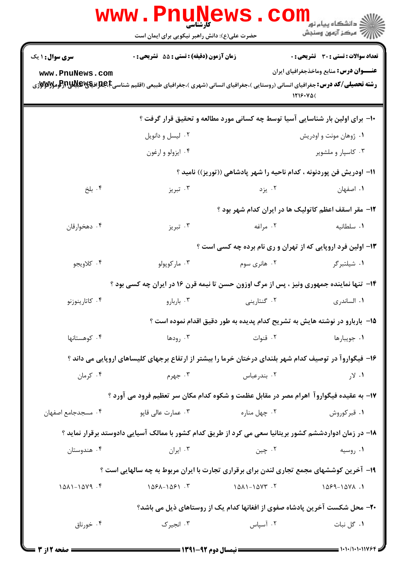|                        | www.Pnul<br><b>کارشناسی</b><br>حضرت علی(ع): دانش راهبر نیکویی برای ایمان است                            | <b>EWS</b><br>, COI   | لاد دانشگاه پيام نور "<br>   > مرکز آزمون وسنڊش                               |
|------------------------|---------------------------------------------------------------------------------------------------------|-----------------------|-------------------------------------------------------------------------------|
| <b>سری سوال : ۱ یک</b> | <b>زمان آزمون (دقیقه) : تستی : 55 تشریحی : 0</b>                                                        |                       | تعداد سوالات : تستى : 30 - تشريحي : 0                                         |
| www.PnuNews.com        |                                                                                                         |                       | <b>عنـــوان درس:</b> منابع وماخذجغرافیای ایران                                |
|                        |                                                                                                         |                       | 1719.40(                                                                      |
|                        |                                                                                                         |                       | ۱۰- برای اولین بار شناسایی آسیا توسط چه کسانی مورد مطالعه و تحقیق قرار گرفت ؟ |
|                        | ۰۲ لیسل و دانویل                                                                                        |                       | ۰۱ ژوهان مونت و اودریش                                                        |
|                        | ۰۴ ایزولو و ارغون                                                                                       |                       | ۰۳ کاسپار و ملشویر                                                            |
|                        |                                                                                                         |                       | 11– اودریش فن پوردنونه ، کدام ناحیه را شهر پادشاهی ((توریز)) نامید ؟          |
| ۰۴ بلخ                 | ۰۳ تبریز                                                                                                | ۰۲ یزد                | ۰۱ اصفهان                                                                     |
|                        |                                                                                                         |                       | <b>۱۲</b> - مقر اسقف اعظم کاتولیک ها در ایران کدام شهر بود ؟                  |
| ۰۴ دهخوارقان           | ۰۳ تبریز                                                                                                | ۰۲ مراغه              | ٠١. سلطانيه                                                                   |
|                        |                                                                                                         |                       | ۱۳- اولین فرد اروپایی که از تهران و ری نام برده چه کسی است ؟                  |
| ۰۴ كلاويجو             | ۰۳ مارکوپولو                                                                                            | ۰۲ هانری سوم          | ۰۱ شیلتبرگر                                                                   |
|                        | ۱۴- تنها نماینده جمهوری ونیز ، پس از مرگ اوزون حسن تا نیمه قرن ۱۶ در ایران چه کسی بود ؟                 |                       |                                                                               |
| ۰۴ کاتارینوزنو         | ۰۳ باربارو                                                                                              | ۰۲ گنتارینی           | ۰۱ الساندري                                                                   |
|                        |                                                                                                         |                       | ۱۵− باربارو در نوشته هایش به تشریح کدام پدیده به طور دقیق اقدام نموده است ؟   |
| ۰۴ کوهستانها           | ۰۳ رودها                                                                                                | ٠٢ قنوات              | ۰۱ جويبارها                                                                   |
|                        | ۱۶– فیگواروآ در توصیف کدام شهر بلندای درختان خرما را بیشتر از ارتفاع برجهای کلیساهای اروپایی می داند ؟  |                       |                                                                               |
| ۰۴ کرمان               | ۰۳ جهرم                                                                                                 | ۰۲ بندرعباس           | ۰۱ لار                                                                        |
|                        | ۱۷– به عقیده فیگواروآ اهرام مصر در مقابل عظمت و شکوه کدام مکان سر تعظیم فرود می آورد ؟                  |                       |                                                                               |
| ۰۴ مسجدجامع اصفهان     | ۰۳ عمارت عالی قاپو                                                                                      | ۰۲ چهل مناره          | ۰۱ قبر کوروش                                                                  |
|                        | ۱۸– در زمان ادواردششم کشور بریتانیا سعی می کرد از طریق کدام کشور با ممالک آسیایی دادوستد برقرار نماید ؟ |                       |                                                                               |
| ۰۴ هندوستان            | ۰۳ ایران                                                                                                | ۰۲ چين                | ۰۱ روسیه                                                                      |
|                        | ۱۹- آخرین کوششهای مجمع تجاری لندن برای برقراری تجارت با ایران مربوط به چه سالهایی است ؟                 |                       |                                                                               |
| $1011 - 1019$ .        | $1091 - 1091.7$                                                                                         | $1011 - 10YY \cdot Y$ | $1099 - 1041.1$                                                               |
|                        |                                                                                                         |                       | ۲۰- محل شکست آخرین پادشاه صفوی از افغانها کدام یک از روستاهای ذیل می باشد؟    |
| ۰۴ خورناق              | ۰۳ انجیر ک                                                                                              | ۰۲ آسپاس              | ۰۱ گل نبات                                                                    |
|                        |                                                                                                         |                       |                                                                               |